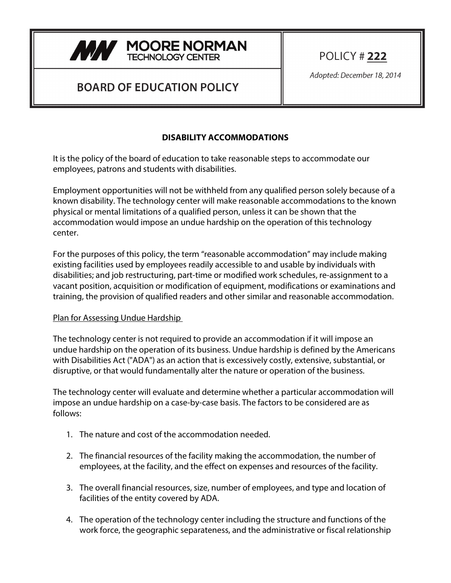

## **BOARD OF EDUCATION POLICY**

POLICY # 222

Adopted: December 18, 2014

## **DISABILITY ACCOMMODATIONS**

It is the policy of the board of education to take reasonable steps to accommodate our employees, patrons and students with disabilities.

Employment opportunities will not be withheld from any qualified person solely because of a known disability. The technology center will make reasonable accommodations to the known physical or mental limitations of a qualified person, unless it can be shown that the accommodation would impose an undue hardship on the operation of this technology center.

For the purposes of this policy, the term "reasonable accommodation" may include making existing facilities used by employees readily accessible to and usable by individuals with disabilities; and job restructuring, part-time or modified work schedules, re-assignment to a vacant position, acquisition or modification of equipment, modifications or examinations and training, the provision of qualified readers and other similar and reasonable accommodation.

## Plan for Assessing Undue Hardship

The technology center is not required to provide an accommodation if it will impose an undue hardship on the operation of its business. Undue hardship is defined by the Americans with Disabilities Act ("ADA") as an action that is excessively costly, extensive, substantial, or disruptive, or that would fundamentally alter the nature or operation of the business.

The technology center will evaluate and determine whether a particular accommodation will impose an undue hardship on a case-by-case basis. The factors to be considered are as follows:

- 1. The nature and cost of the accommodation needed.
- 2. The financial resources of the facility making the accommodation, the number of employees, at the facility, and the effect on expenses and resources of the facility.
- 3. The overall financial resources, size, number of employees, and type and location of facilities of the entity covered by ADA.
- 4. The operation of the technology center including the structure and functions of the work force, the geographic separateness, and the administrative or fiscal relationship